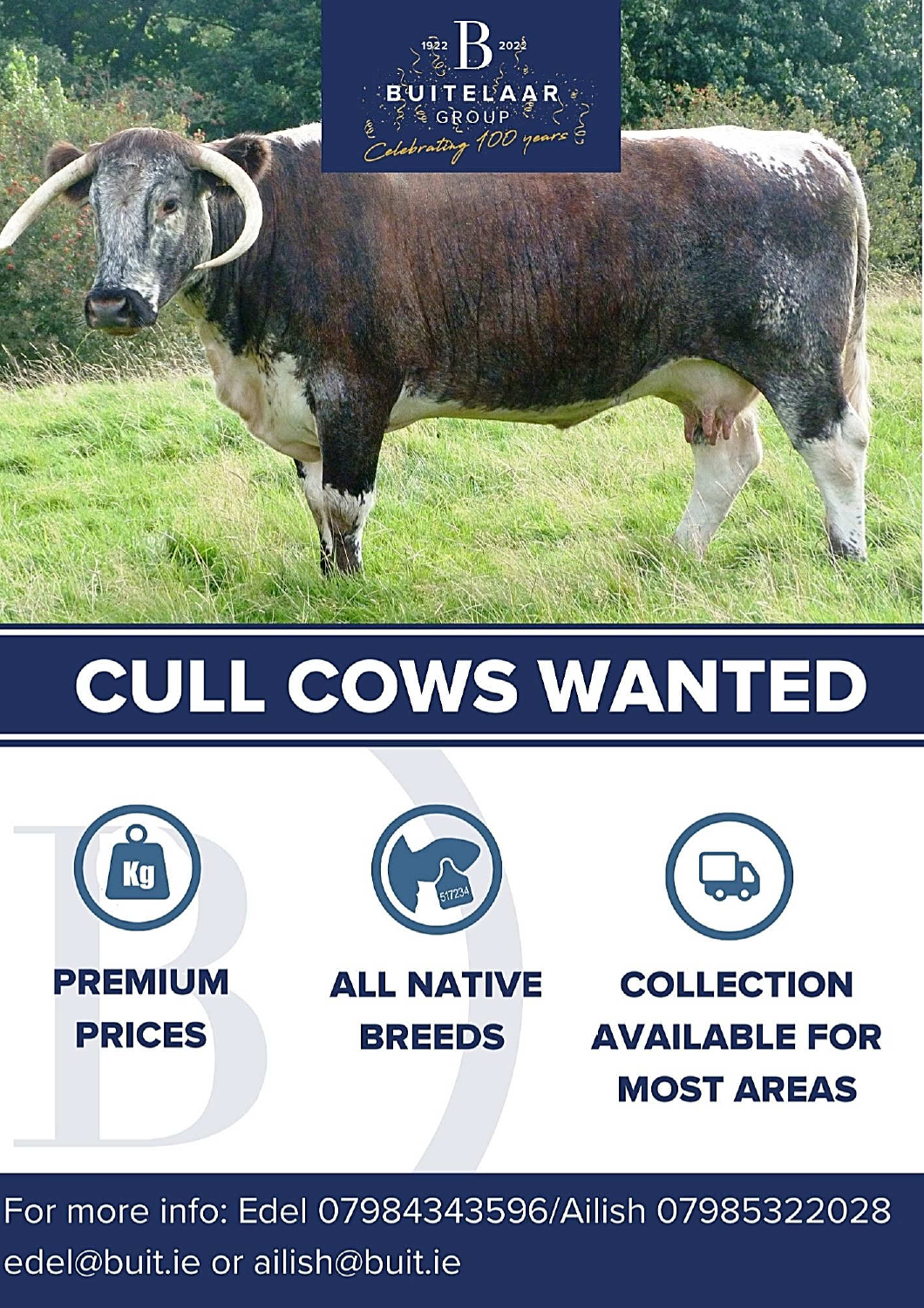

## CULL COWS WANTED



For more info: Edel 07984343596/Ailish 07985322028 edel@buit.ie or ailish@buit.ie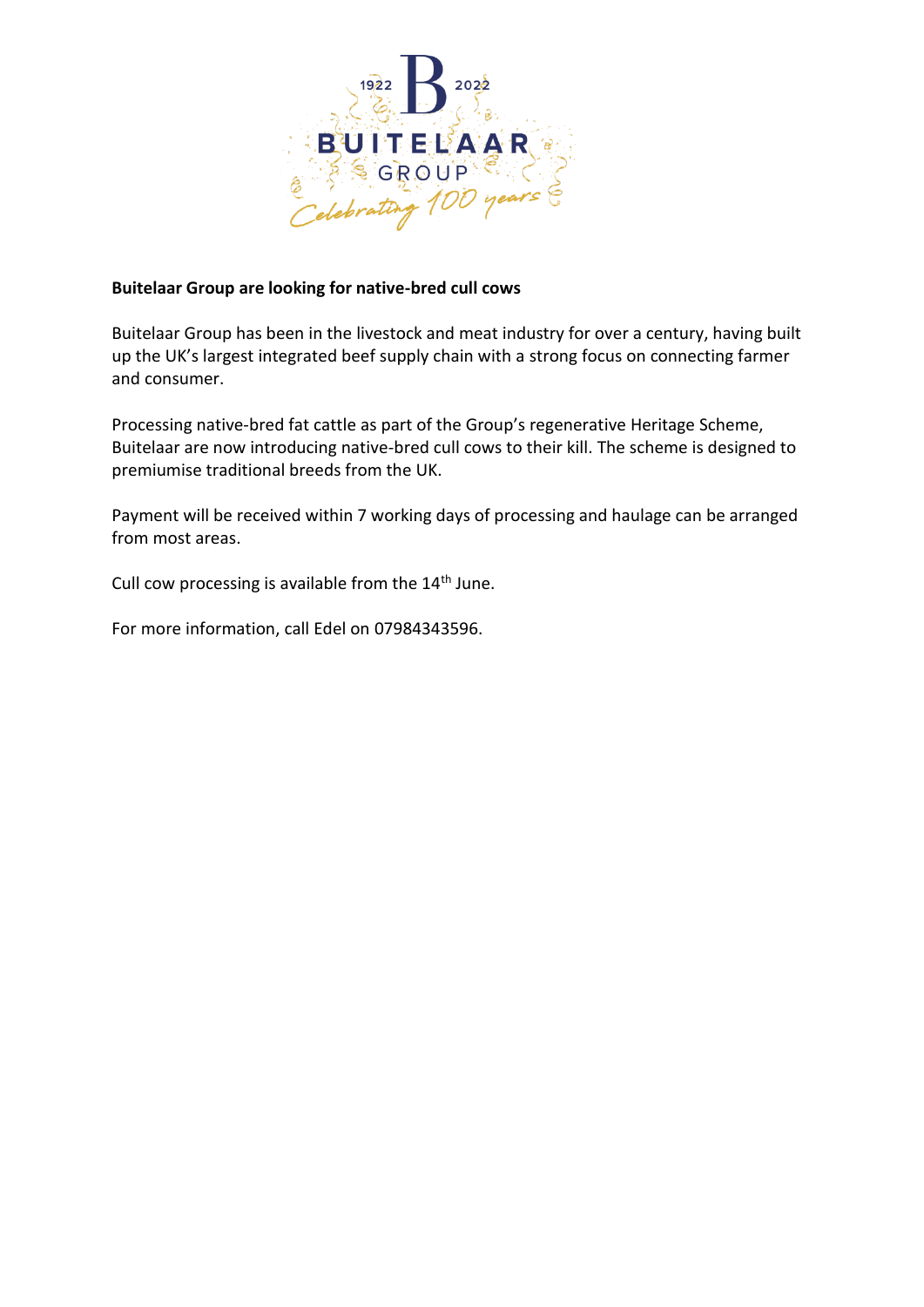

## **Buitelaar Group are looking for native-bred cull cows**

Buitelaar Group has been in the livestock and meat industry for over a century, having built up the UK's largest integrated beef supply chain with a strong focus on connecting farmer and consumer.

Processing native-bred fat cattle as part of the Group's regenerative Heritage Scheme, Buitelaar are now introducing native-bred cull cows to their kill. The scheme is designed to premiumise traditional breeds from the UK.

Payment will be received within 7 working days of processing and haulage can be arranged from most areas.

Cull cow processing is available from the 14<sup>th</sup> June.

For more information, call Edel on 07984343596.